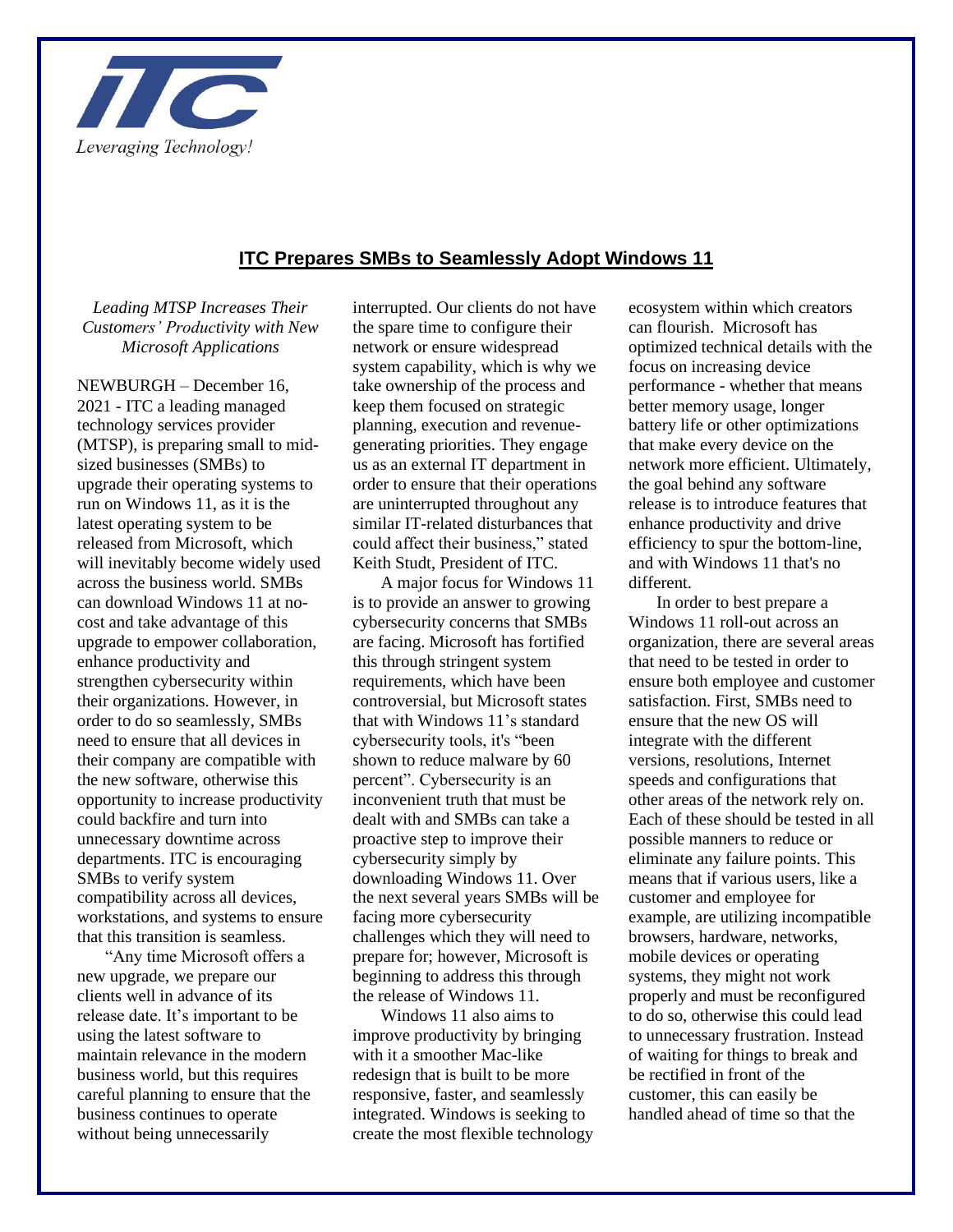

## **ITC Prepares SMBs to Seamlessly Adopt Windows 11**

## *Leading MTSP Increases Their Customers' Productivity with New Microsoft Applications*

NEWBURGH – December 16, 2021 - ITC a leading managed technology services provider (MTSP), is preparing small to midsized businesses (SMBs) to upgrade their operating systems to run on Windows 11, as it is the latest operating system to be released from Microsoft, which will inevitably become widely used across the business world. SMBs can download Windows 11 at nocost and take advantage of this upgrade to empower collaboration, enhance productivity and strengthen cybersecurity within their organizations. However, in order to do so seamlessly, SMBs need to ensure that all devices in their company are compatible with the new software, otherwise this opportunity to increase productivity could backfire and turn into unnecessary downtime across departments. ITC is encouraging SMBs to verify system compatibility across all devices, workstations, and systems to ensure that this transition is seamless.

"Any time Microsoft offers a new upgrade, we prepare our clients well in advance of its release date. It's important to be using the latest software to maintain relevance in the modern business world, but this requires careful planning to ensure that the business continues to operate without being unnecessarily

interrupted. Our clients do not have the spare time to configure their network or ensure widespread system capability, which is why we take ownership of the process and keep them focused on strategic planning, execution and revenuegenerating priorities. They engage us as an external IT department in order to ensure that their operations are uninterrupted throughout any similar IT-related disturbances that could affect their business," stated Keith Studt, President of ITC.

A major focus for Windows 11 is to provide an answer to growing cybersecurity concerns that SMBs are facing. Microsoft has fortified this through stringent system requirements, which have been controversial, but Microsoft states that with Windows 11's standard cybersecurity tools, it's "been shown to reduce malware by 60 percent". Cybersecurity is an inconvenient truth that must be dealt with and SMBs can take a proactive step to improve their cybersecurity simply by downloading Windows 11. Over the next several years SMBs will be facing more cybersecurity challenges which they will need to prepare for; however, Microsoft is beginning to address this through the release of Windows 11.

Windows 11 also aims to improve productivity by bringing with it a smoother Mac-like redesign that is built to be more responsive, faster, and seamlessly integrated. Windows is seeking to create the most flexible technology ecosystem within which creators can flourish. Microsoft has optimized technical details with the focus on increasing device performance - whether that means better memory usage, longer battery life or other optimizations that make every device on the network more efficient. Ultimately, the goal behind any software release is to introduce features that enhance productivity and drive efficiency to spur the bottom-line, and with Windows 11 that's no different.

In order to best prepare a Windows 11 roll-out across an organization, there are several areas that need to be tested in order to ensure both employee and customer satisfaction. First, SMBs need to ensure that the new OS will integrate with the different versions, resolutions, Internet speeds and configurations that other areas of the network rely on. Each of these should be tested in all possible manners to reduce or eliminate any failure points. This means that if various users, like a customer and employee for example, are utilizing incompatible browsers, hardware, networks, mobile devices or operating systems, they might not work properly and must be reconfigured to do so, otherwise this could lead to unnecessary frustration. Instead of waiting for things to break and be rectified in front of the customer, this can easily be handled ahead of time so that the